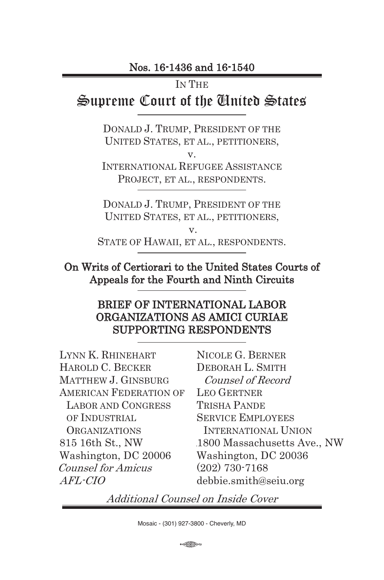#### IN THE

# Supreme Court of the United States

DONALD J. TRUMP, PRESIDENT OF THE UNITED STATES, ET AL., PETITIONERS,

v.

INTERNATIONAL REFUGEE ASSISTANCE PROJECT, ET AL., RESPONDENTS.

DONALD J. TRUMP, PRESIDENT OF THE UNITED STATES, ET AL., PETITIONERS,

v. STATE OF HAWAII, ET AL., RESPONDENTS.

### On Writs of Certiorari to the United States Courts of Appeals for the Fourth and Ninth Circuits

#### BRIEF OF INTERNATIONAL LABOR ORGANIZATIONS AS AMICI CURIAE SUPPORTING RESPONDENTS

LYNN K. RHINEHART HAROLD C. BECKER MATTHEW J. GINSBURG AMERICAN FEDERATION OF LABOR AND CONGRESS OF INDUSTRIAL **ORGANIZATIONS** 815 16th St., NW Washington, DC 20006 Counsel for Amicus AFL-CIO

NICOLE G. BERNER DEBORAH L. SMITH Counsel of Record LEO GERTNER TRISHA PANDE SERVICE EMPLOYEES INTERNATIONAL UNION 1800 Massachusetts Ave., NW Washington, DC 20036 (202) 730-7168 debbie.smith@seiu.org

Additional Counsel on Inside Cover

 $\bigoplus$ 13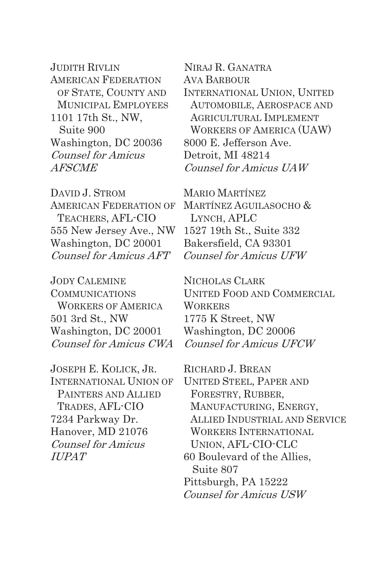JUDITH RIVLIN AMERICAN FEDERATION OF STATE, COUNTY AND MUNICIPAL EMPLOYEES 1101 17th St., NW, Suite 900 Washington, DC 20036 Counsel for Amicus AFSCME

DAVID J. STROM AMERICAN FEDERATION OF TEACHERS, AFL-CIO 555 New Jersey Ave., NW Washington, DC 20001 Counsel for Amicus AFT

JODY CALEMINE COMMUNICATIONS WORKERS OF AMERICA 501 3rd St., NW Washington, DC 20001 Counsel for Amicus CWA

JOSEPH E. KOLICK, JR. INTERNATIONAL UNION OF PAINTERS AND ALLIED TRADES, AFL-CIO 7234 Parkway Dr. Hanover, MD 21076 Counsel for Amicus IUPAT

 NIRAJ R. GANATRA AVA BARBOUR INTERNATIONAL UNION, UNITED AUTOMOBILE, AEROSPACE AND AGRICULTURAL IMPLEMENT WORKERS OF AMERICA (UAW) 8000 E. Jefferson Ave. Detroit, MI 48214 Counsel for Amicus UAW

MARIO MARTÍNEZ MARTÍNEZ AGUILASOCHO & LYNCH, APLC 1527 19th St., Suite 332 Bakersfield, CA 93301 Counsel for Amicus UFW

NICHOLAS CLARK UNITED FOOD AND COMMERCIAL **WORKERS** 1775 K Street, NW Washington, DC 20006 Counsel for Amicus UFCW

RICHARD J. BREAN UNITED STEEL, PAPER AND FORESTRY, RUBBER, MANUFACTURING, ENERGY, ALLIED INDUSTRIAL AND SERVICE WORKERS INTERNATIONAL UNION, AFL-CIO-CLC 60 Boulevard of the Allies, Suite 807 Pittsburgh, PA 15222 Counsel for Amicus USW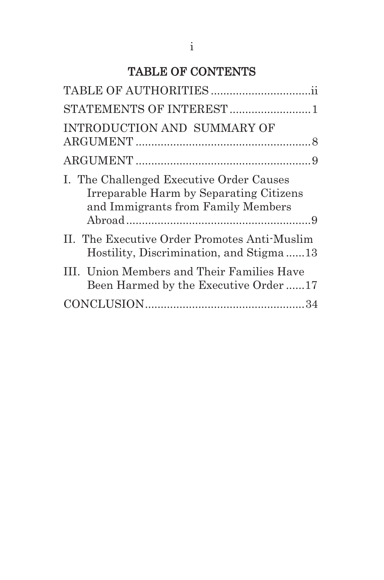# TABLE OF CONTENTS

| STATEMENTS OF INTEREST  1                                                                                                 |
|---------------------------------------------------------------------------------------------------------------------------|
| INTRODUCTION AND SUMMARY OF                                                                                               |
|                                                                                                                           |
| I. The Challenged Executive Order Causes<br>Irreparable Harm by Separating Citizens<br>and Immigrants from Family Members |
| II. The Executive Order Promotes Anti-Muslim<br>Hostility, Discrimination, and Stigma13                                   |
| III. Union Members and Their Families Have<br>Been Harmed by the Executive Order17                                        |
|                                                                                                                           |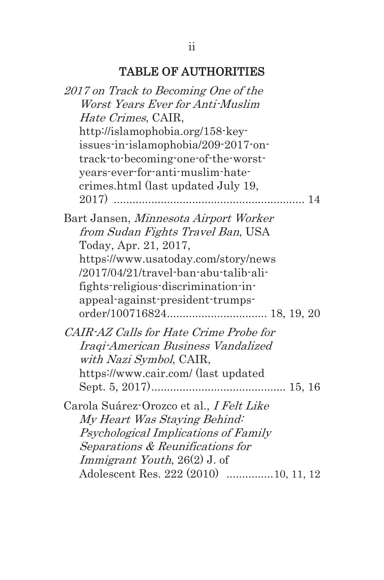# TABLE OF AUTHORITIES

| 2017 on Track to Becoming One of the     |
|------------------------------------------|
| Worst Years Ever for Anti-Muslim         |
| <i>Hate Crimes, CAIR,</i>                |
| http://islamophobia.org/158-key-         |
| issues-in-islamophobia/209-2017-on-      |
| track-to-becoming-one-of-the-worst-      |
| years-ever-for-anti-muslim-hate-         |
| crimes.html (last updated July 19,       |
|                                          |
| Bart Jansen, Minnesota Airport Worker    |
| from Sudan Fights Travel Ban, USA        |
| Today, Apr. 21, 2017,                    |
| https://www.usatoday.com/story/news      |
| /2017/04/21/travel-ban-abu-talib-ali-    |
|                                          |
| fights-religious-discrimination-in-      |
| appeal-against-president-trumps-         |
|                                          |
| CAIR-AZ Calls for Hate Crime Probe for   |
| Iraqi-American Business Vandalized       |
| with Nazi Symbol, CAIR,                  |
| https://www.cair.com/ (last updated      |
|                                          |
| Carola Suárez-Orozco et al., I Felt Like |
| My Heart Was Staying Behind:             |
| Psychological Implications of Family     |
| Separations & Reunifications for         |
| <i>Immigrant Youth</i> , 26(2) J. of     |
| Adolescent Res. 222 (2010) 10, 11, 12    |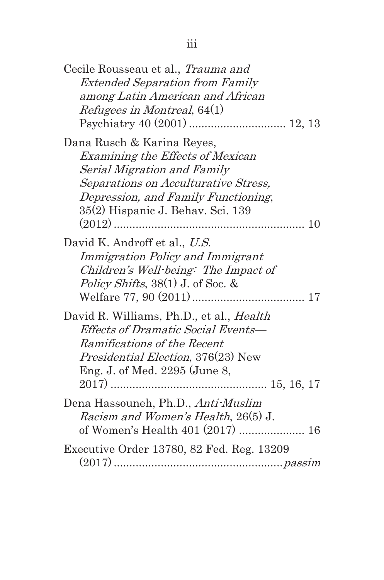| Cecile Rousseau et al., Trauma and<br><b>Extended Separation from Family</b><br>among Latin American and African<br><i>Refugees in Montreal</i> , 64(1)                                                           |
|-------------------------------------------------------------------------------------------------------------------------------------------------------------------------------------------------------------------|
| Dana Rusch & Karina Reyes,<br>Examining the Effects of Mexican<br>Serial Migration and Family<br>Separations on Acculturative Stress,<br>Depression, and Family Functioning,<br>35(2) Hispanic J. Behav. Sci. 139 |
| David K. Androff et al., U.S.<br>Immigration Policy and Immigrant<br>Children's Well-being: The Impact of<br>Policy Shifts, $38(1)$ J. of Soc. &                                                                  |
| David R. Williams, Ph.D., et al., <i>Health</i><br>Effects of Dramatic Social Events-<br>Ramifications of the Recent<br><i>Presidential Election</i> , 376(23) New<br>Eng. J. of Med. 2295 (June 8,               |
| Dena Hassouneh, Ph.D., Anti-Muslim<br><i>Racism and Women's Health, 26(5) J.</i><br>of Women's Health 401 (2017)  16                                                                                              |
| Executive Order 13780, 82 Fed. Reg. 13209                                                                                                                                                                         |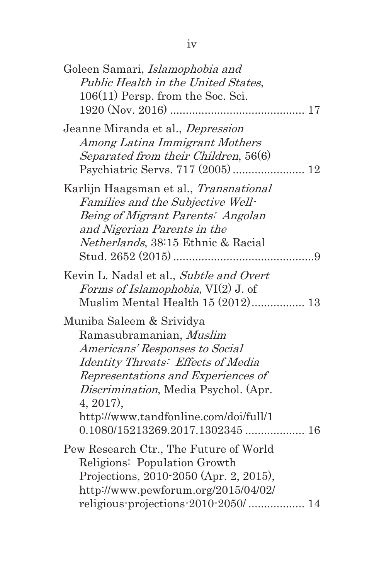| Goleen Samari, Islamophobia and<br>Public Health in the United States,<br>$106(11)$ Persp. from the Soc. Sci.                                                                                                                                                             |  |
|---------------------------------------------------------------------------------------------------------------------------------------------------------------------------------------------------------------------------------------------------------------------------|--|
| Jeanne Miranda et al., <i>Depression</i><br>Among Latina Immigrant Mothers<br>Separated from their Children, 56(6)                                                                                                                                                        |  |
| Karlijn Haagsman et al., Transnational<br>Families and the Subjective Well-<br>Being of Migrant Parents: Angolan<br>and Nigerian Parents in the<br>Netherlands, 38:15 Ethnic & Racial                                                                                     |  |
| Kevin L. Nadal et al., Subtle and Overt<br><i>Forms of Islamophobia</i> , $VI(2)$ J. of                                                                                                                                                                                   |  |
| Muniba Saleem & Srividya<br>Ramasubramanian, Muslim<br>Americans' Responses to Social<br>Identity Threats: Effects of Media<br>Representations and Experiences of<br><i>Discrimination</i> , Media Psychol. (Apr.<br>$4, 2017$ ,<br>http://www.tandfonline.com/doi/full/1 |  |
| Pew Research Ctr., The Future of World<br>Religions: Population Growth<br>Projections, 2010-2050 (Apr. 2, 2015),<br>http://www.pewforum.org/2015/04/02/<br>religious-projections-2010-2050/ 14                                                                            |  |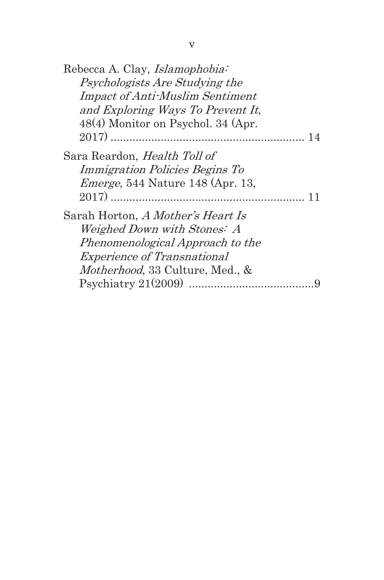| Psychologists Are Studying the<br><b>Impact of Anti-Muslim Sentiment</b><br>and Exploring Ways To Prevent It,<br>48(4) Monitor on Psychol. 34 (Apr. |
|-----------------------------------------------------------------------------------------------------------------------------------------------------|
|                                                                                                                                                     |
|                                                                                                                                                     |
|                                                                                                                                                     |
|                                                                                                                                                     |
|                                                                                                                                                     |
| Sara Reardon, <i>Health Toll of</i>                                                                                                                 |
| <i>Immigration Policies Begins To</i>                                                                                                               |
| <i>Emerge</i> , 544 Nature 148 (Apr. 13,                                                                                                            |
|                                                                                                                                                     |
| Sarah Horton, A Mother's Heart Is                                                                                                                   |
| Weighed Down with Stones: A                                                                                                                         |
| Phenomenological Approach to the                                                                                                                    |
| <i>Experience of Transnational</i>                                                                                                                  |
| <i>Motherhood</i> , 33 Culture, Med., &                                                                                                             |
|                                                                                                                                                     |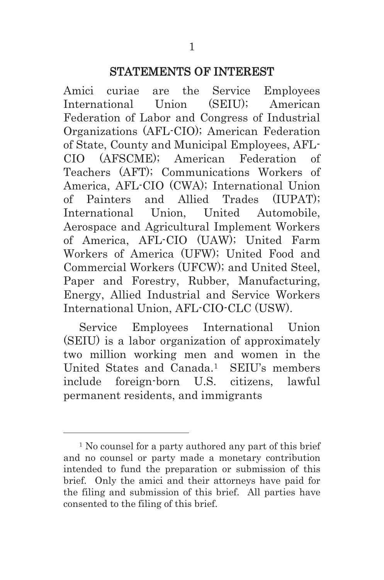#### STATEMENTS OF INTEREST

Amici curiae are the Service Employees International Union (SEIU); American Federation of Labor and Congress of Industrial Organizations (AFL-CIO); American Federation of State, County and Municipal Employees, AFL-CIO (AFSCME); American Federation of Teachers (AFT); Communications Workers of America, AFL-CIO (CWA); International Union of Painters and Allied Trades (IUPAT); International Union, United Automobile, Aerospace and Agricultural Implement Workers of America, AFL-CIO (UAW); United Farm Workers of America (UFW); United Food and Commercial Workers (UFCW); and United Steel, Paper and Forestry, Rubber, Manufacturing, Energy, Allied Industrial and Service Workers International Union, AFL-CIO-CLC (USW).

Service Employees International Union (SEIU) is a labor organization of approximately two million working men and women in the United States and Canada.1 SEIU's members include foreign-born U.S. citizens, lawful permanent residents, and immigrants

l

<sup>&</sup>lt;sup>1</sup> No counsel for a party authored any part of this brief and no counsel or party made a monetary contribution intended to fund the preparation or submission of this brief. Only the amici and their attorneys have paid for the filing and submission of this brief. All parties have consented to the filing of this brief.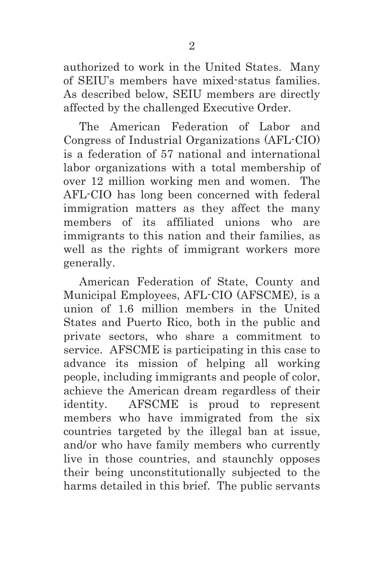authorized to work in the United States. Many of SEIU's members have mixed-status families. As described below, SEIU members are directly affected by the challenged Executive Order.

The American Federation of Labor and Congress of Industrial Organizations (AFL-CIO) is a federation of 57 national and international labor organizations with a total membership of over 12 million working men and women. The AFL-CIO has long been concerned with federal immigration matters as they affect the many members of its affiliated unions who are immigrants to this nation and their families, as well as the rights of immigrant workers more generally.

American Federation of State, County and Municipal Employees, AFL-CIO (AFSCME), is a union of 1.6 million members in the United States and Puerto Rico, both in the public and private sectors, who share a commitment to service. AFSCME is participating in this case to advance its mission of helping all working people, including immigrants and people of color, achieve the American dream regardless of their identity. AFSCME is proud to represent members who have immigrated from the six countries targeted by the illegal ban at issue, and/or who have family members who currently live in those countries, and staunchly opposes their being unconstitutionally subjected to the harms detailed in this brief. The public servants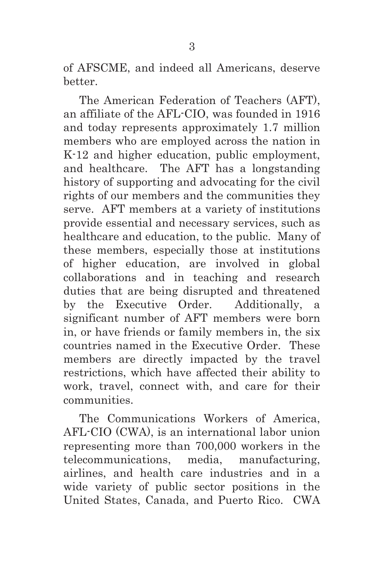of AFSCME, and indeed all Americans, deserve better.

The American Federation of Teachers (AFT), an affiliate of the AFL-CIO, was founded in 1916 and today represents approximately 1.7 million members who are employed across the nation in K-12 and higher education, public employment, and healthcare. The AFT has a longstanding history of supporting and advocating for the civil rights of our members and the communities they serve. AFT members at a variety of institutions provide essential and necessary services, such as healthcare and education, to the public. Many of these members, especially those at institutions of higher education, are involved in global collaborations and in teaching and research duties that are being disrupted and threatened by the Executive Order. Additionally, a significant number of AFT members were born in, or have friends or family members in, the six countries named in the Executive Order. These members are directly impacted by the travel restrictions, which have affected their ability to work, travel, connect with, and care for their communities.

The Communications Workers of America, AFL-CIO (CWA), is an international labor union representing more than 700,000 workers in the telecommunications, media, manufacturing, airlines, and health care industries and in a wide variety of public sector positions in the United States, Canada, and Puerto Rico. CWA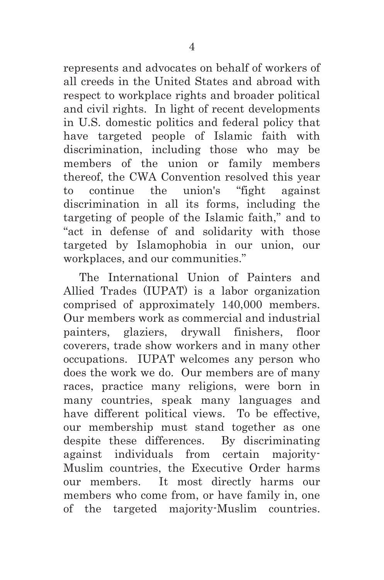represents and advocates on behalf of workers of all creeds in the United States and abroad with respect to workplace rights and broader political and civil rights. In light of recent developments in U.S. domestic politics and federal policy that have targeted people of Islamic faith with discrimination, including those who may be members of the union or family members thereof, the CWA Convention resolved this year to continue the union's "fight against discrimination in all its forms, including the targeting of people of the Islamic faith," and to "act in defense of and solidarity with those targeted by Islamophobia in our union, our workplaces, and our communities."

The International Union of Painters and Allied Trades (IUPAT) is a labor organization comprised of approximately 140,000 members. Our members work as commercial and industrial painters, glaziers, drywall finishers, floor coverers, trade show workers and in many other occupations. IUPAT welcomes any person who does the work we do. Our members are of many races, practice many religions, were born in many countries, speak many languages and have different political views. To be effective, our membership must stand together as one despite these differences. By discriminating against individuals from certain majority-Muslim countries, the Executive Order harms our members. It most directly harms our members who come from, or have family in, one of the targeted majority-Muslim countries.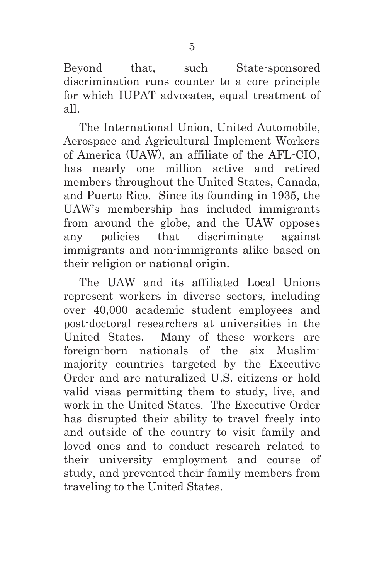Beyond that, such State-sponsored discrimination runs counter to a core principle for which IUPAT advocates, equal treatment of all.

The International Union, United Automobile, Aerospace and Agricultural Implement Workers of America (UAW), an affiliate of the AFL-CIO, has nearly one million active and retired members throughout the United States, Canada, and Puerto Rico. Since its founding in 1935, the UAW's membership has included immigrants from around the globe, and the UAW opposes any policies that discriminate against immigrants and non-immigrants alike based on their religion or national origin.

The UAW and its affiliated Local Unions represent workers in diverse sectors, including over 40,000 academic student employees and post-doctoral researchers at universities in the United States. Many of these workers are foreign-born nationals of the six Muslimmajority countries targeted by the Executive Order and are naturalized U.S. citizens or hold valid visas permitting them to study, live, and work in the United States. The Executive Order has disrupted their ability to travel freely into and outside of the country to visit family and loved ones and to conduct research related to their university employment and course of study, and prevented their family members from traveling to the United States.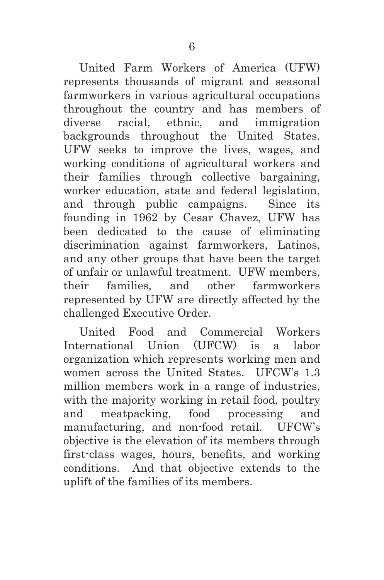United Farm Workers of America (UFW) represents thousands of migrant and seasonal farmworkers in various agricultural occupations throughout the country and has members of diverse racial, ethnic, and immigration backgrounds throughout the United States. UFW seeks to improve the lives, wages, and working conditions of agricultural workers and their families through collective bargaining, worker education, state and federal legislation, and through public campaigns. Since its founding in 1962 by Cesar Chavez, UFW has been dedicated to the cause of eliminating discrimination against farmworkers, Latinos, and any other groups that have been the target of unfair or unlawful treatment. UFW members, their families, and other farmworkers represented by UFW are directly affected by the challenged Executive Order.

United Food and Commercial Workers International Union (UFCW) is a labor organization which represents working men and women across the United States. UFCW's 1.3 million members work in a range of industries, with the majority working in retail food, poultry and meatpacking, food processing and manufacturing, and non-food retail. UFCW's objective is the elevation of its members through first-class wages, hours, benefits, and working conditions. And that objective extends to the uplift of the families of its members.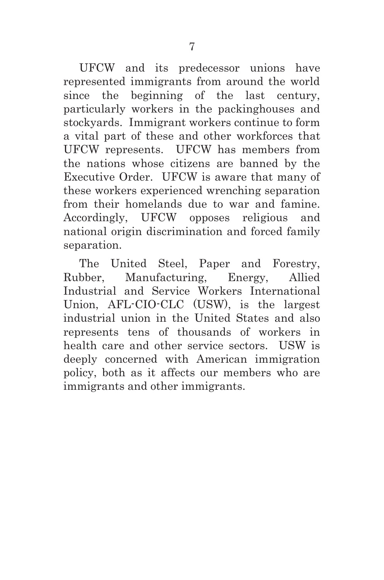UFCW and its predecessor unions have represented immigrants from around the world since the beginning of the last century, particularly workers in the packinghouses and stockyards. Immigrant workers continue to form a vital part of these and other workforces that UFCW represents. UFCW has members from the nations whose citizens are banned by the Executive Order. UFCW is aware that many of these workers experienced wrenching separation from their homelands due to war and famine. Accordingly, UFCW opposes religious and national origin discrimination and forced family separation.

The United Steel, Paper and Forestry, Rubber, Manufacturing, Energy, Allied Industrial and Service Workers International Union, AFL-CIO-CLC (USW), is the largest industrial union in the United States and also represents tens of thousands of workers in health care and other service sectors. USW is deeply concerned with American immigration policy, both as it affects our members who are immigrants and other immigrants.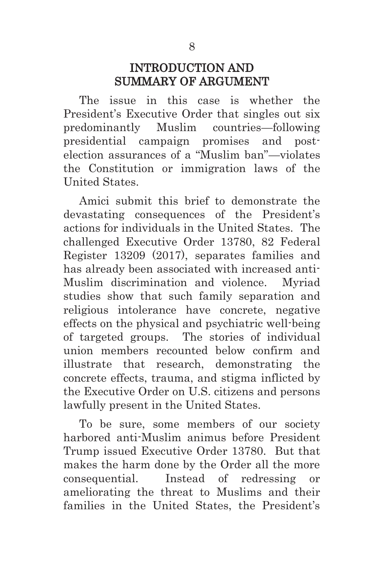### INTRODUCTION AND SUMMARY OF ARGUMENT

The issue in this case is whether the President's Executive Order that singles out six predominantly Muslim countries—following presidential campaign promises and postelection assurances of a "Muslim ban"—violates the Constitution or immigration laws of the United States.

Amici submit this brief to demonstrate the devastating consequences of the President's actions for individuals in the United States. The challenged Executive Order 13780, 82 Federal Register 13209 (2017), separates families and has already been associated with increased anti-Muslim discrimination and violence. Myriad studies show that such family separation and religious intolerance have concrete, negative effects on the physical and psychiatric well-being of targeted groups. The stories of individual union members recounted below confirm and illustrate that research, demonstrating the concrete effects, trauma, and stigma inflicted by the Executive Order on U.S. citizens and persons lawfully present in the United States.

To be sure, some members of our society harbored anti-Muslim animus before President Trump issued Executive Order 13780. But that makes the harm done by the Order all the more consequential. Instead of redressing or ameliorating the threat to Muslims and their families in the United States, the President's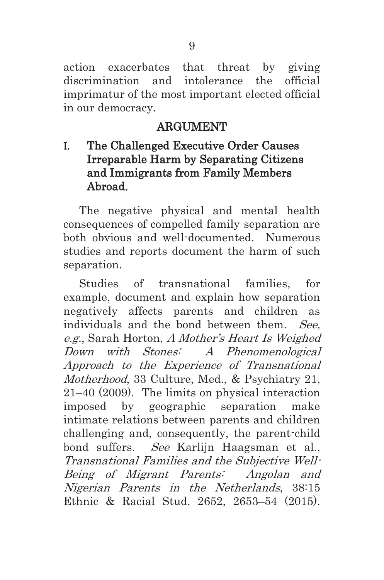action exacerbates that threat by giving discrimination and intolerance the official imprimatur of the most important elected official in our democracy.

## ARGUMENT

## I. The Challenged Executive Order Causes Irreparable Harm by Separating Citizens and Immigrants from Family Members Abroad.

The negative physical and mental health consequences of compelled family separation are both obvious and well-documented. Numerous studies and reports document the harm of such separation.

Studies of transnational families, for example, document and explain how separation negatively affects parents and children as individuals and the bond between them. See, e.g., Sarah Horton, A Mother's Heart Is Weighed Down with Stones: A Phenomenological Approach to the Experience of Transnational Motherhood, 33 Culture, Med., & Psychiatry 21, 21–40 (2009). The limits on physical interaction imposed by geographic separation make intimate relations between parents and children challenging and, consequently, the parent-child bond suffers. See Karlijn Haagsman et al., Transnational Families and the Subjective Well-Being of Migrant Parents: Angolan and Nigerian Parents in the Netherlands, 38:15 Ethnic & Racial Stud. 2652, 2653–54 (2015).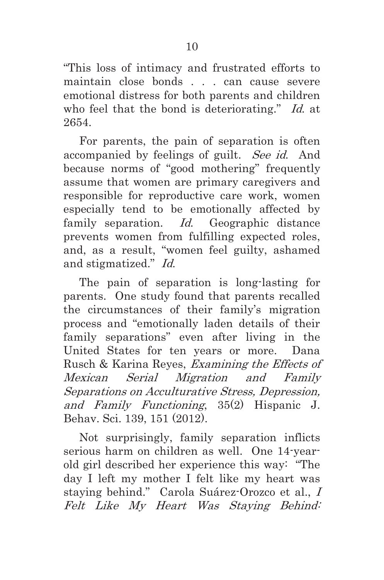"This loss of intimacy and frustrated efforts to maintain close bonds . . . can cause severe emotional distress for both parents and children who feel that the bond is deteriorating." Id. at 2654.

For parents, the pain of separation is often accompanied by feelings of guilt. See id. And because norms of "good mothering" frequently assume that women are primary caregivers and responsible for reproductive care work, women especially tend to be emotionally affected by family separation. Id. Geographic distance prevents women from fulfilling expected roles, and, as a result, "women feel guilty, ashamed and stigmatized." Id.

The pain of separation is long-lasting for parents. One study found that parents recalled the circumstances of their family's migration process and "emotionally laden details of their family separations" even after living in the United States for ten years or more. Dana Rusch & Karina Reyes, Examining the Effects of Mexican Serial Migration and Family Separations on Acculturative Stress, Depression, and Family Functioning, 35(2) Hispanic J. Behav. Sci. 139, 151 (2012).

Not surprisingly, family separation inflicts serious harm on children as well. One 14-yearold girl described her experience this way: "The day I left my mother I felt like my heart was staying behind." Carola Suárez-Orozco et al., I Felt Like My Heart Was Staying Behind: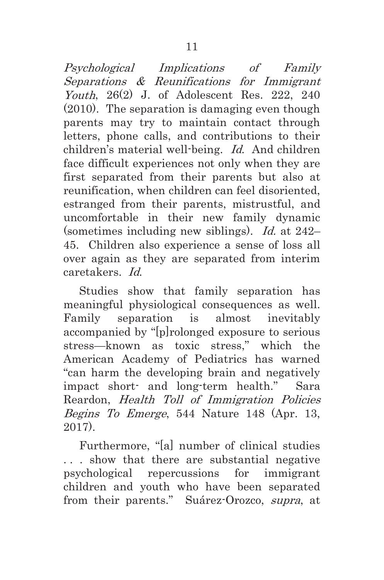Psychological Implications of Family Separations & Reunifications for Immigrant Youth, 26(2) J. of Adolescent Res. 222, 240 (2010). The separation is damaging even though parents may try to maintain contact through letters, phone calls, and contributions to their children's material well-being. Id. And children face difficult experiences not only when they are first separated from their parents but also at reunification, when children can feel disoriented, estranged from their parents, mistrustful, and uncomfortable in their new family dynamic (sometimes including new siblings). Id. at 242– 45. Children also experience a sense of loss all over again as they are separated from interim caretakers. Id.

Studies show that family separation has meaningful physiological consequences as well. Family separation is almost inevitably accompanied by "[p]rolonged exposure to serious stress—known as toxic stress," which the American Academy of Pediatrics has warned "can harm the developing brain and negatively impact short- and long-term health." Sara Reardon, Health Toll of Immigration Policies Begins To Emerge, 544 Nature 148 (Apr. 13, 2017).

Furthermore, "[a] number of clinical studies . . . show that there are substantial negative psychological repercussions for immigrant children and youth who have been separated from their parents." Suárez-Orozco, supra, at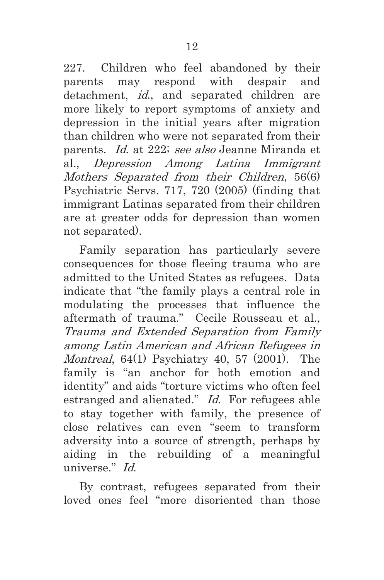227. Children who feel abandoned by their parents may respond with despair and detachment, *id.*, and separated children are more likely to report symptoms of anxiety and depression in the initial years after migration than children who were not separated from their parents. Id. at 222; see also Jeanne Miranda et al., Depression Among Latina Immigrant Mothers Separated from their Children, 56(6) Psychiatric Servs. 717, 720 (2005) (finding that immigrant Latinas separated from their children are at greater odds for depression than women not separated).

Family separation has particularly severe consequences for those fleeing trauma who are admitted to the United States as refugees. Data indicate that "the family plays a central role in modulating the processes that influence the aftermath of trauma." Cecile Rousseau et al., Trauma and Extended Separation from Family among Latin American and African Refugees in *Montreal*, 64(1) Psychiatry 40, 57 (2001). The family is "an anchor for both emotion and identity" and aids "torture victims who often feel estranged and alienated." Id. For refugees able to stay together with family, the presence of close relatives can even "seem to transform adversity into a source of strength, perhaps by aiding in the rebuilding of a meaningful universe." Id.

By contrast, refugees separated from their loved ones feel "more disoriented than those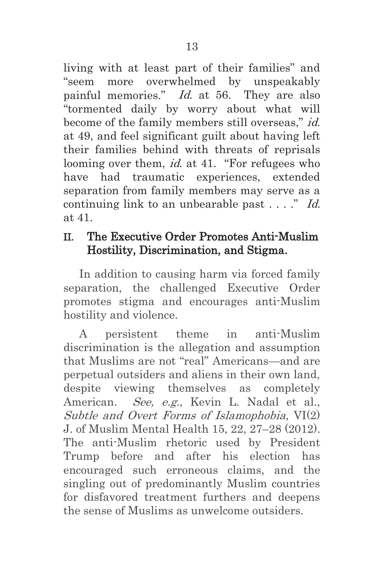living with at least part of their families" and "seem more overwhelmed by unspeakably painful memories." *Id.* at 56. They are also "tormented daily by worry about what will become of the family members still overseas," id. at 49, and feel significant guilt about having left their families behind with threats of reprisals looming over them, *id.* at 41. "For refugees who have had traumatic experiences, extended separation from family members may serve as a continuing link to an unbearable past  $\dots$ ." Id. at 41.

### II. The Executive Order Promotes Anti-Muslim Hostility, Discrimination, and Stigma.

In addition to causing harm via forced family separation, the challenged Executive Order promotes stigma and encourages anti-Muslim hostility and violence.

A persistent theme in anti-Muslim discrimination is the allegation and assumption that Muslims are not "real" Americans—and are perpetual outsiders and aliens in their own land, despite viewing themselves as completely American. See, e.g., Kevin L. Nadal et al., Subtle and Overt Forms of Islamophobia, VI(2) J. of Muslim Mental Health 15, 22, 27–28 (2012). The anti-Muslim rhetoric used by President Trump before and after his election has encouraged such erroneous claims, and the singling out of predominantly Muslim countries for disfavored treatment furthers and deepens the sense of Muslims as unwelcome outsiders.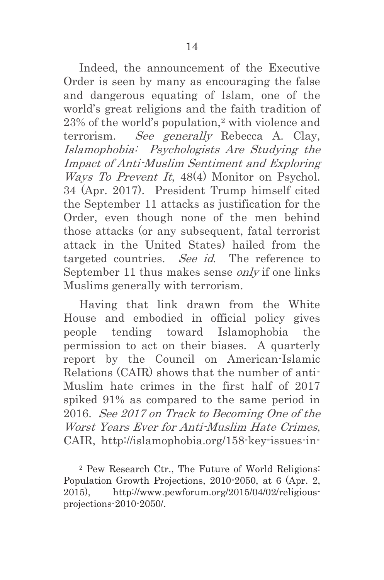Indeed, the announcement of the Executive Order is seen by many as encouraging the false and dangerous equating of Islam, one of the world's great religions and the faith tradition of 23% of the world's population,2 with violence and terrorism. See generally Rebecca A. Clay, Islamophobia: Psychologists Are Studying the Impact of Anti-Muslim Sentiment and Exploring Ways To Prevent It, 48(4) Monitor on Psychol. 34 (Apr. 2017). President Trump himself cited the September 11 attacks as justification for the Order, even though none of the men behind those attacks (or any subsequent, fatal terrorist attack in the United States) hailed from the targeted countries. See id. The reference to September 11 thus makes sense *only* if one links Muslims generally with terrorism.

Having that link drawn from the White House and embodied in official policy gives people tending toward Islamophobia the permission to act on their biases. A quarterly report by the Council on American-Islamic Relations (CAIR) shows that the number of anti-Muslim hate crimes in the first half of 2017 spiked 91% as compared to the same period in 2016. See 2017 on Track to Becoming One of the Worst Years Ever for Anti-Muslim Hate Crimes, CAIR, http://islamophobia.org/158-key-issues-in-

l

<sup>2</sup> Pew Research Ctr., The Future of World Religions: Population Growth Projections, 2010-2050, at 6 (Apr. 2, 2015), http://www.pewforum.org/2015/04/02/religiousprojections-2010-2050/.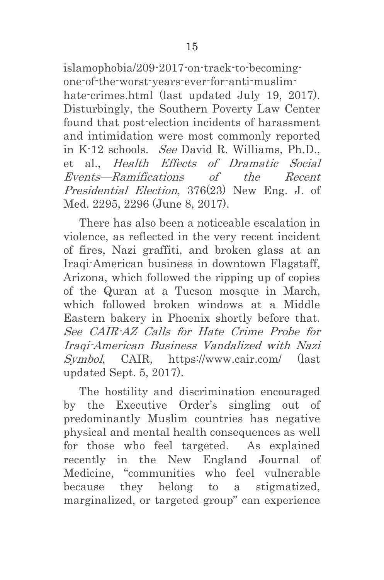islamophobia/209-2017-on-track-to-becomingone-of-the-worst-years-ever-for-anti-muslimhate-crimes.html (last updated July 19, 2017). Disturbingly, the Southern Poverty Law Center found that post-election incidents of harassment and intimidation were most commonly reported in K-12 schools. See David R. Williams, Ph.D., et al., Health Effects of Dramatic Social Events—Ramifications of the Recent Presidential Election, 376(23) New Eng. J. of Med. 2295, 2296 (June 8, 2017).

There has also been a noticeable escalation in violence, as reflected in the very recent incident of fires, Nazi graffiti, and broken glass at an Iraqi-American business in downtown Flagstaff, Arizona, which followed the ripping up of copies of the Quran at a Tucson mosque in March, which followed broken windows at a Middle Eastern bakery in Phoenix shortly before that. See CAIR-AZ Calls for Hate Crime Probe for Iraqi-American Business Vandalized with Nazi Symbol, CAIR, https://www.cair.com/ (last updated Sept. 5, 2017).

The hostility and discrimination encouraged by the Executive Order's singling out of predominantly Muslim countries has negative physical and mental health consequences as well for those who feel targeted. As explained recently in the New England Journal of Medicine, "communities who feel vulnerable because they belong to a stigmatized, marginalized, or targeted group" can experience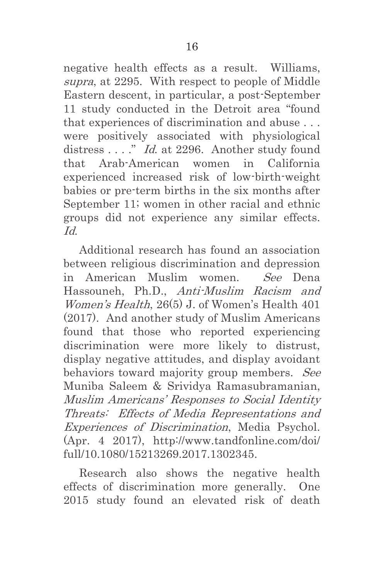negative health effects as a result. Williams, supra, at 2295. With respect to people of Middle Eastern descent, in particular, a post-September 11 study conducted in the Detroit area "found that experiences of discrimination and abuse . . . were positively associated with physiological distress . . . ." *Id.* at 2296. Another study found that Arab-American women in California experienced increased risk of low-birth-weight babies or pre-term births in the six months after September 11; women in other racial and ethnic groups did not experience any similar effects.  $Id$ 

Additional research has found an association between religious discrimination and depression in American Muslim women. See Dena Hassouneh, Ph.D., Anti-Muslim Racism and Women's Health, 26(5) J. of Women's Health 401 (2017). And another study of Muslim Americans found that those who reported experiencing discrimination were more likely to distrust, display negative attitudes, and display avoidant behaviors toward majority group members. See Muniba Saleem & Srividya Ramasubramanian, Muslim Americans' Responses to Social Identity Threats: Effects of Media Representations and Experiences of Discrimination, Media Psychol. (Apr. 4 2017), http://www.tandfonline.com/doi/ full/10.1080/15213269.2017.1302345.

Research also shows the negative health effects of discrimination more generally. One 2015 study found an elevated risk of death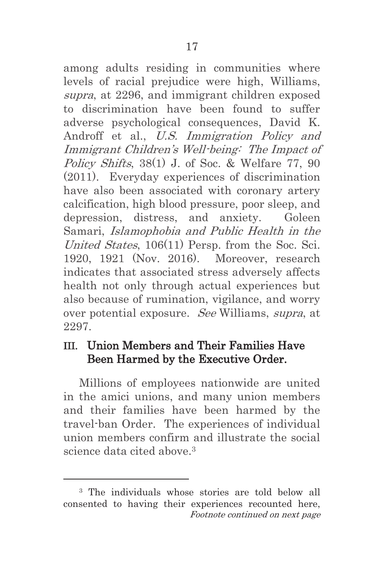among adults residing in communities where levels of racial prejudice were high, Williams, supra, at 2296, and immigrant children exposed to discrimination have been found to suffer adverse psychological consequences, David K. Androff et al., U.S. Immigration Policy and Immigrant Children's Well-being: The Impact of Policy Shifts, 38(1) J. of Soc. & Welfare 77, 90 (2011). Everyday experiences of discrimination have also been associated with coronary artery calcification, high blood pressure, poor sleep, and depression, distress, and anxiety. Goleen Samari, Islamophobia and Public Health in the United States, 106(11) Persp. from the Soc. Sci. 1920, 1921 (Nov. 2016). Moreover, research indicates that associated stress adversely affects health not only through actual experiences but also because of rumination, vigilance, and worry over potential exposure. See Williams, supra, at 2297.

## III. Union Members and Their Families Have Been Harmed by the Executive Order.

Millions of employees nationwide are united in the amici unions, and many union members and their families have been harmed by the travel-ban Order. The experiences of individual union members confirm and illustrate the social science data cited above.3

l

<sup>3</sup> The individuals whose stories are told below all consented to having their experiences recounted here, Footnote continued on next page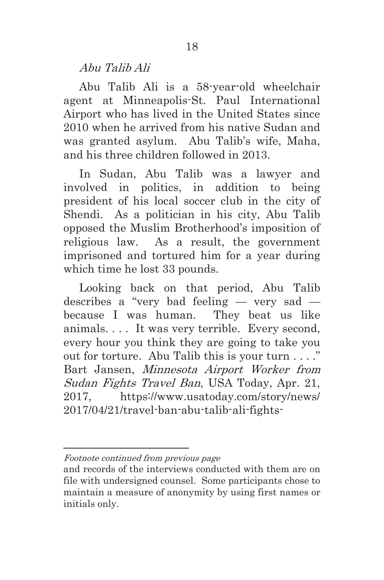Abu Talib Ali

Abu Talib Ali is a 58-year-old wheelchair agent at Minneapolis-St. Paul International Airport who has lived in the United States since 2010 when he arrived from his native Sudan and was granted asylum. Abu Talib's wife, Maha, and his three children followed in 2013.

In Sudan, Abu Talib was a lawyer and involved in politics, in addition to being president of his local soccer club in the city of Shendi. As a politician in his city, Abu Talib opposed the Muslim Brotherhood's imposition of religious law. As a result, the government imprisoned and tortured him for a year during which time he lost 33 pounds.

Looking back on that period, Abu Talib describes a "very bad feeling — very sad because I was human. They beat us like animals. . . . It was very terrible. Every second, every hour you think they are going to take you out for torture. Abu Talib this is your turn . . . ." Bart Jansen, Minnesota Airport Worker from Sudan Fights Travel Ban, USA Today, Apr. 21, 2017, https://www.usatoday.com/story/news/ 2017/04/21/travel-ban-abu-talib-ali-fights-

 $\overline{a}$ 

Footnote continued from previous page

and records of the interviews conducted with them are on file with undersigned counsel. Some participants chose to maintain a measure of anonymity by using first names or initials only.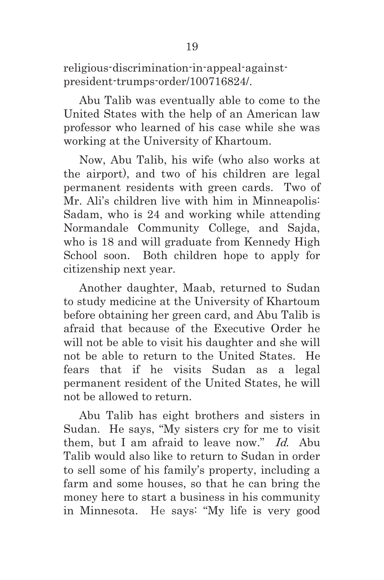religious-discrimination-in-appeal-againstpresident-trumps-order/100716824/.

Abu Talib was eventually able to come to the United States with the help of an American law professor who learned of his case while she was working at the University of Khartoum.

Now, Abu Talib, his wife (who also works at the airport), and two of his children are legal permanent residents with green cards. Two of Mr. Ali's children live with him in Minneapolis: Sadam, who is 24 and working while attending Normandale Community College, and Sajda, who is 18 and will graduate from Kennedy High School soon. Both children hope to apply for citizenship next year.

Another daughter, Maab, returned to Sudan to study medicine at the University of Khartoum before obtaining her green card, and Abu Talib is afraid that because of the Executive Order he will not be able to visit his daughter and she will not be able to return to the United States. He fears that if he visits Sudan as a legal permanent resident of the United States, he will not be allowed to return.

Abu Talib has eight brothers and sisters in Sudan. He says, "My sisters cry for me to visit them, but I am afraid to leave now." Id. Abu Talib would also like to return to Sudan in order to sell some of his family's property, including a farm and some houses, so that he can bring the money here to start a business in his community in Minnesota. He says: "My life is very good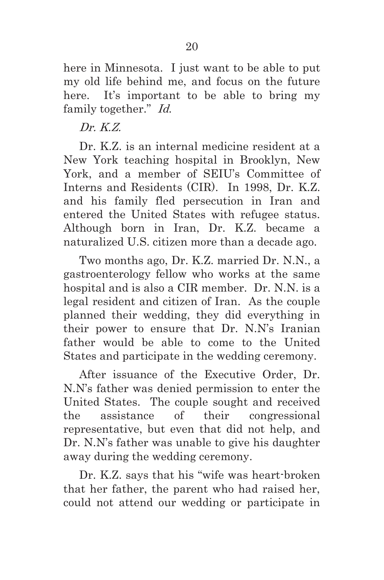here in Minnesota. I just want to be able to put my old life behind me, and focus on the future here. It's important to be able to bring my family together." Id.

 $Dr$   $KZ$ 

Dr. K.Z. is an internal medicine resident at a New York teaching hospital in Brooklyn, New York, and a member of SEIU's Committee of Interns and Residents (CIR). In 1998, Dr. K.Z. and his family fled persecution in Iran and entered the United States with refugee status. Although born in Iran, Dr. K.Z. became a naturalized U.S. citizen more than a decade ago.

Two months ago, Dr. K.Z. married Dr. N.N., a gastroenterology fellow who works at the same hospital and is also a CIR member. Dr. N.N. is a legal resident and citizen of Iran. As the couple planned their wedding, they did everything in their power to ensure that Dr. N.N's Iranian father would be able to come to the United States and participate in the wedding ceremony.

After issuance of the Executive Order, Dr. N.N's father was denied permission to enter the United States. The couple sought and received the assistance of their congressional representative, but even that did not help, and Dr. N.N's father was unable to give his daughter away during the wedding ceremony.

Dr. K.Z. says that his "wife was heart-broken that her father, the parent who had raised her, could not attend our wedding or participate in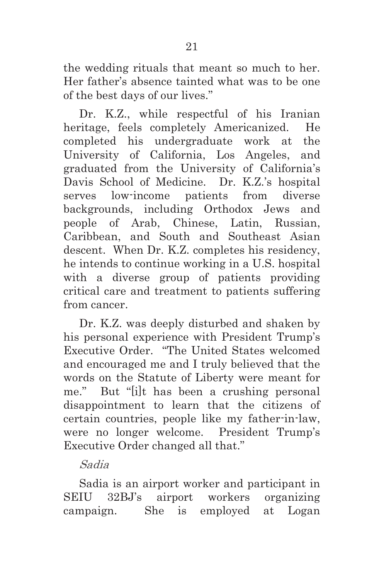the wedding rituals that meant so much to her. Her father's absence tainted what was to be one of the best days of our lives."

Dr. K.Z., while respectful of his Iranian heritage, feels completely Americanized. He completed his undergraduate work at the University of California, Los Angeles, and graduated from the University of California's Davis School of Medicine. Dr. K.Z.'s hospital serves low-income patients from diverse backgrounds, including Orthodox Jews and people of Arab, Chinese, Latin, Russian, Caribbean, and South and Southeast Asian descent. When Dr. K.Z. completes his residency, he intends to continue working in a U.S. hospital with a diverse group of patients providing critical care and treatment to patients suffering from cancer.

Dr. K.Z. was deeply disturbed and shaken by his personal experience with President Trump's Executive Order. "The United States welcomed and encouraged me and I truly believed that the words on the Statute of Liberty were meant for me." But "[i]t has been a crushing personal disappointment to learn that the citizens of certain countries, people like my father-in-law, were no longer welcome. President Trump's Executive Order changed all that."

#### Sadia

Sadia is an airport worker and participant in SEIU 32BJ's airport workers organizing campaign. She is employed at Logan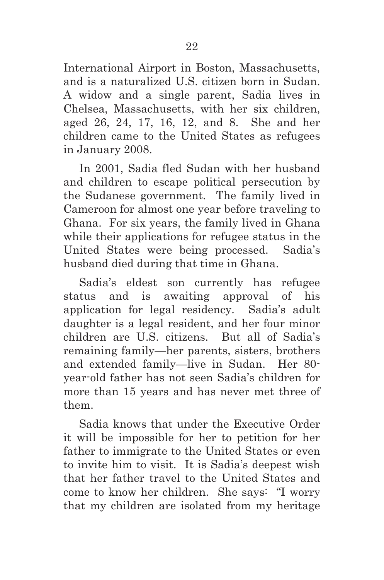International Airport in Boston, Massachusetts, and is a naturalized U.S. citizen born in Sudan. A widow and a single parent, Sadia lives in Chelsea, Massachusetts, with her six children, aged 26, 24, 17, 16, 12, and 8. She and her children came to the United States as refugees in January 2008.

In 2001, Sadia fled Sudan with her husband and children to escape political persecution by the Sudanese government. The family lived in Cameroon for almost one year before traveling to Ghana. For six years, the family lived in Ghana while their applications for refugee status in the United States were being processed. Sadia's husband died during that time in Ghana.

Sadia's eldest son currently has refugee status and is awaiting approval of his application for legal residency. Sadia's adult daughter is a legal resident, and her four minor children are U.S. citizens. But all of Sadia's remaining family—her parents, sisters, brothers and extended family—live in Sudan. Her 80 year-old father has not seen Sadia's children for more than 15 years and has never met three of them.

Sadia knows that under the Executive Order it will be impossible for her to petition for her father to immigrate to the United States or even to invite him to visit. It is Sadia's deepest wish that her father travel to the United States and come to know her children. She says: "I worry that my children are isolated from my heritage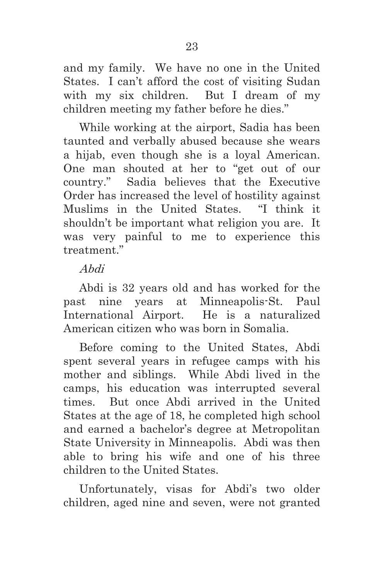and my family. We have no one in the United States. I can't afford the cost of visiting Sudan with my six children. But I dream of my children meeting my father before he dies."

While working at the airport, Sadia has been taunted and verbally abused because she wears a hijab, even though she is a loyal American. One man shouted at her to "get out of our country." Sadia believes that the Executive Order has increased the level of hostility against Muslims in the United States. "I think it shouldn't be important what religion you are. It was very painful to me to experience this treatment."

### Abdi

Abdi is 32 years old and has worked for the past nine years at Minneapolis-St. Paul International Airport. He is a naturalized American citizen who was born in Somalia.

Before coming to the United States, Abdi spent several years in refugee camps with his mother and siblings. While Abdi lived in the camps, his education was interrupted several times. But once Abdi arrived in the United States at the age of 18, he completed high school and earned a bachelor's degree at Metropolitan State University in Minneapolis. Abdi was then able to bring his wife and one of his three children to the United States.

Unfortunately, visas for Abdi's two older children, aged nine and seven, were not granted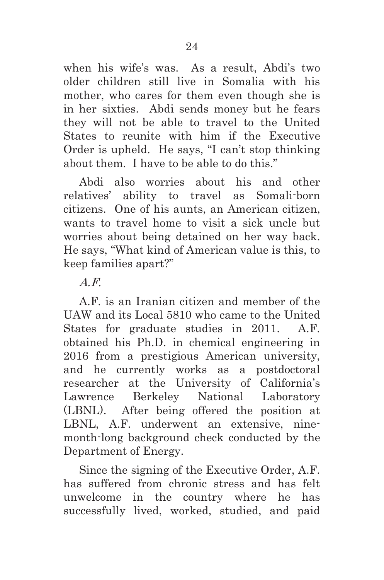when his wife's was. As a result, Abdi's two older children still live in Somalia with his mother, who cares for them even though she is in her sixties. Abdi sends money but he fears they will not be able to travel to the United States to reunite with him if the Executive Order is upheld. He says, "I can't stop thinking about them. I have to be able to do this."

Abdi also worries about his and other relatives' ability to travel as Somali-born citizens. One of his aunts, an American citizen, wants to travel home to visit a sick uncle but worries about being detained on her way back. He says, "What kind of American value is this, to keep families apart?"

A.F.

A.F. is an Iranian citizen and member of the UAW and its Local 5810 who came to the United States for graduate studies in 2011. A.F. obtained his Ph.D. in chemical engineering in 2016 from a prestigious American university, and he currently works as a postdoctoral researcher at the University of California's Lawrence Berkeley National Laboratory (LBNL). After being offered the position at LBNL, A.F. underwent an extensive, ninemonth-long background check conducted by the Department of Energy.

Since the signing of the Executive Order, A.F. has suffered from chronic stress and has felt unwelcome in the country where he has successfully lived, worked, studied, and paid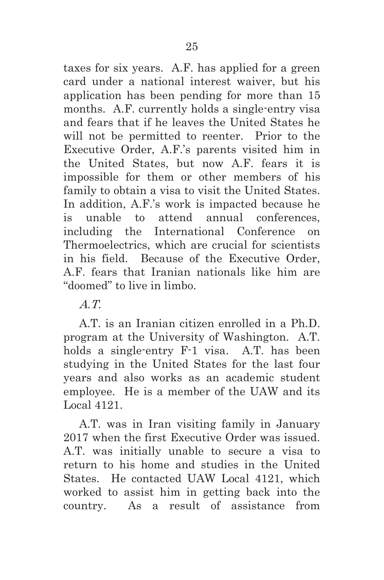taxes for six years. A.F. has applied for a green card under a national interest waiver, but his application has been pending for more than 15 months. A.F. currently holds a single-entry visa and fears that if he leaves the United States he will not be permitted to reenter. Prior to the Executive Order, A.F.'s parents visited him in the United States, but now A.F. fears it is impossible for them or other members of his family to obtain a visa to visit the United States. In addition, A.F.'s work is impacted because he is unable to attend annual conferences, including the International Conference on Thermoelectrics, which are crucial for scientists in his field. Because of the Executive Order, A.F. fears that Iranian nationals like him are "doomed" to live in limbo.

A.T.

A.T. is an Iranian citizen enrolled in a Ph.D. program at the University of Washington. A.T. holds a single-entry F-1 visa. A.T. has been studying in the United States for the last four years and also works as an academic student employee. He is a member of the UAW and its Local 4121.

A.T. was in Iran visiting family in January 2017 when the first Executive Order was issued. A.T. was initially unable to secure a visa to return to his home and studies in the United States. He contacted UAW Local 4121, which worked to assist him in getting back into the country. As a result of assistance from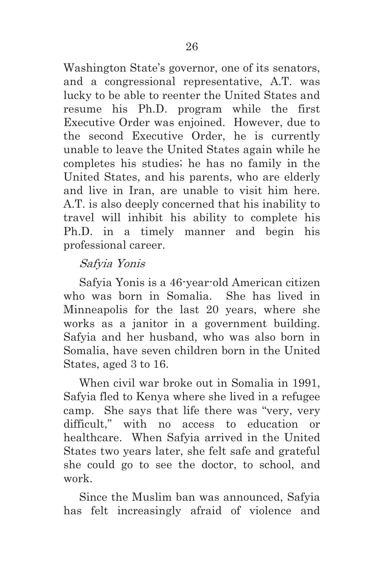Washington State's governor, one of its senators, and a congressional representative, A.T. was lucky to be able to reenter the United States and resume his Ph.D. program while the first Executive Order was enjoined. However, due to the second Executive Order, he is currently unable to leave the United States again while he completes his studies; he has no family in the United States, and his parents, who are elderly and live in Iran, are unable to visit him here. A.T. is also deeply concerned that his inability to travel will inhibit his ability to complete his Ph.D. in a timely manner and begin his professional career.

## Safyia Yonis

Safyia Yonis is a 46-year-old American citizen who was born in Somalia. She has lived in Minneapolis for the last 20 years, where she works as a janitor in a government building. Safyia and her husband, who was also born in Somalia, have seven children born in the United States, aged 3 to 16.

When civil war broke out in Somalia in 1991, Safyia fled to Kenya where she lived in a refugee camp. She says that life there was "very, very difficult," with no access to education or healthcare. When Safyia arrived in the United States two years later, she felt safe and grateful she could go to see the doctor, to school, and work.

Since the Muslim ban was announced, Safyia has felt increasingly afraid of violence and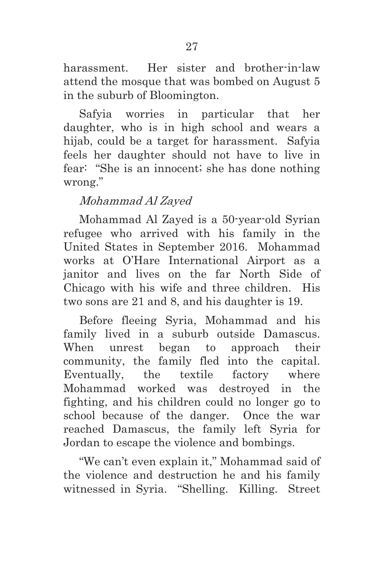harassment. Her sister and brother-in-law attend the mosque that was bombed on August 5 in the suburb of Bloomington.

Safyia worries in particular that her daughter, who is in high school and wears a hijab, could be a target for harassment. Safyia feels her daughter should not have to live in fear: "She is an innocent; she has done nothing wrong."

## Mohammad Al Zayed

Mohammad Al Zayed is a 50-year-old Syrian refugee who arrived with his family in the United States in September 2016. Mohammad works at O'Hare International Airport as a janitor and lives on the far North Side of Chicago with his wife and three children. His two sons are 21 and 8, and his daughter is 19.

Before fleeing Syria, Mohammad and his family lived in a suburb outside Damascus. When unrest began to approach their community, the family fled into the capital. Eventually, the textile factory where Mohammad worked was destroyed in the fighting, and his children could no longer go to school because of the danger. Once the war reached Damascus, the family left Syria for Jordan to escape the violence and bombings.

"We can't even explain it," Mohammad said of the violence and destruction he and his family witnessed in Syria. "Shelling. Killing. Street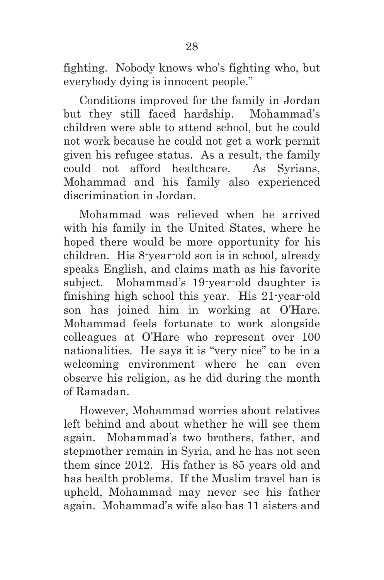fighting. Nobody knows who's fighting who, but everybody dying is innocent people."

Conditions improved for the family in Jordan but they still faced hardship. Mohammad's children were able to attend school, but he could not work because he could not get a work permit given his refugee status. As a result, the family could not afford healthcare. As Syrians, Mohammad and his family also experienced discrimination in Jordan.

Mohammad was relieved when he arrived with his family in the United States, where he hoped there would be more opportunity for his children. His 8-year-old son is in school, already speaks English, and claims math as his favorite subject. Mohammad's 19-year-old daughter is finishing high school this year. His 21-year-old son has joined him in working at O'Hare. Mohammad feels fortunate to work alongside colleagues at O'Hare who represent over 100 nationalities. He says it is "very nice" to be in a welcoming environment where he can even observe his religion, as he did during the month of Ramadan.

However, Mohammad worries about relatives left behind and about whether he will see them again. Mohammad's two brothers, father, and stepmother remain in Syria, and he has not seen them since 2012. His father is 85 years old and has health problems. If the Muslim travel ban is upheld, Mohammad may never see his father again. Mohammad's wife also has 11 sisters and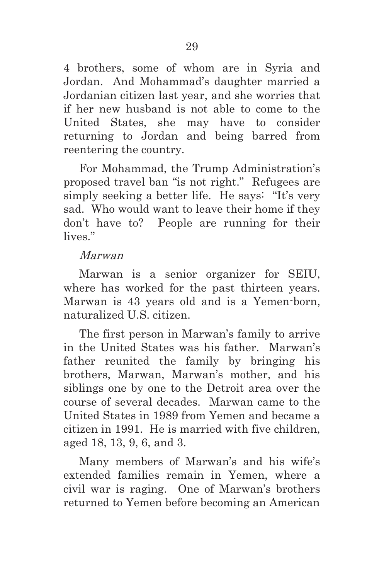4 brothers, some of whom are in Syria and Jordan. And Mohammad's daughter married a Jordanian citizen last year, and she worries that if her new husband is not able to come to the United States, she may have to consider returning to Jordan and being barred from reentering the country.

For Mohammad, the Trump Administration's proposed travel ban "is not right." Refugees are simply seeking a better life. He says: "It's very sad. Who would want to leave their home if they don't have to? People are running for their lives."

#### Marwan

Marwan is a senior organizer for SEIU, where has worked for the past thirteen years. Marwan is 43 years old and is a Yemen-born, naturalized U.S. citizen.

The first person in Marwan's family to arrive in the United States was his father. Marwan's father reunited the family by bringing his brothers, Marwan, Marwan's mother, and his siblings one by one to the Detroit area over the course of several decades. Marwan came to the United States in 1989 from Yemen and became a citizen in 1991. He is married with five children, aged 18, 13, 9, 6, and 3.

Many members of Marwan's and his wife's extended families remain in Yemen, where a civil war is raging. One of Marwan's brothers returned to Yemen before becoming an American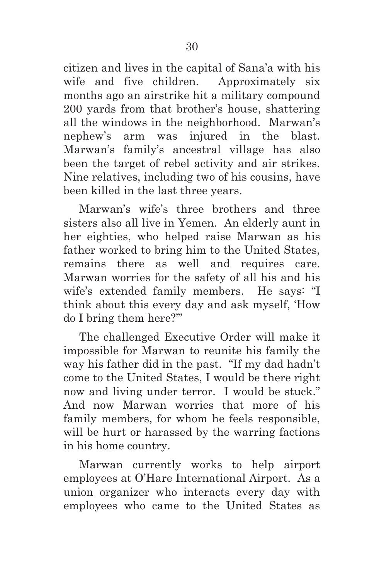citizen and lives in the capital of Sana'a with his wife and five children. Approximately six months ago an airstrike hit a military compound 200 yards from that brother's house, shattering all the windows in the neighborhood. Marwan's nephew's arm was injured in the blast. Marwan's family's ancestral village has also been the target of rebel activity and air strikes. Nine relatives, including two of his cousins, have been killed in the last three years.

Marwan's wife's three brothers and three sisters also all live in Yemen. An elderly aunt in her eighties, who helped raise Marwan as his father worked to bring him to the United States, remains there as well and requires care. Marwan worries for the safety of all his and his wife's extended family members. He says: "I think about this every day and ask myself, 'How do I bring them here?'"

The challenged Executive Order will make it impossible for Marwan to reunite his family the way his father did in the past. "If my dad hadn't come to the United States, I would be there right now and living under terror. I would be stuck." And now Marwan worries that more of his family members, for whom he feels responsible, will be hurt or harassed by the warring factions in his home country.

Marwan currently works to help airport employees at O'Hare International Airport. As a union organizer who interacts every day with employees who came to the United States as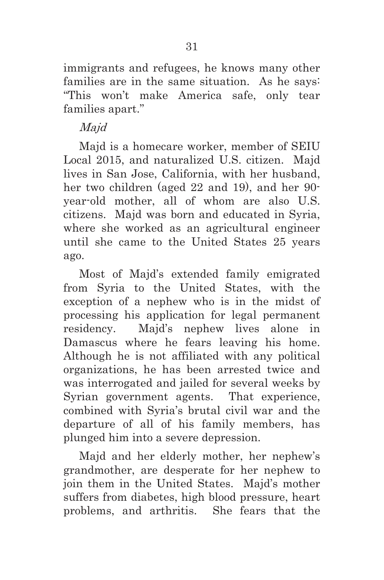immigrants and refugees, he knows many other families are in the same situation. As he says: "This won't make America safe, only tear families apart."

### Majd

Majd is a homecare worker, member of SEIU Local 2015, and naturalized U.S. citizen. Majd lives in San Jose, California, with her husband, her two children (aged 22 and 19), and her 90 year-old mother, all of whom are also U.S. citizens. Majd was born and educated in Syria, where she worked as an agricultural engineer until she came to the United States 25 years ago.

Most of Majd's extended family emigrated from Syria to the United States, with the exception of a nephew who is in the midst of processing his application for legal permanent residency. Majd's nephew lives alone in Damascus where he fears leaving his home. Although he is not affiliated with any political organizations, he has been arrested twice and was interrogated and jailed for several weeks by Syrian government agents. That experience, combined with Syria's brutal civil war and the departure of all of his family members, has plunged him into a severe depression.

Majd and her elderly mother, her nephew's grandmother, are desperate for her nephew to join them in the United States. Majd's mother suffers from diabetes, high blood pressure, heart problems, and arthritis. She fears that the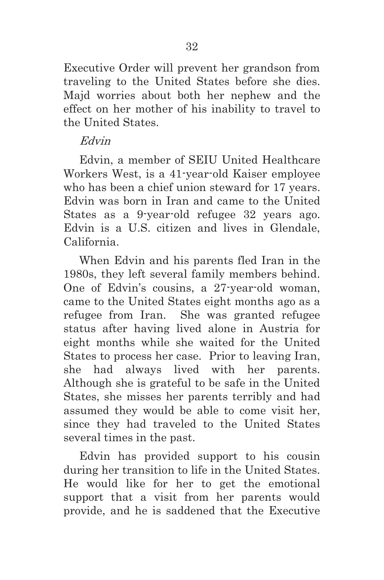Executive Order will prevent her grandson from traveling to the United States before she dies. Majd worries about both her nephew and the effect on her mother of his inability to travel to the United States.

#### Edvin

Edvin, a member of SEIU United Healthcare Workers West, is a 41-year-old Kaiser employee who has been a chief union steward for 17 years. Edvin was born in Iran and came to the United States as a 9-year-old refugee 32 years ago. Edvin is a U.S. citizen and lives in Glendale, California.

When Edvin and his parents fled Iran in the 1980s, they left several family members behind. One of Edvin's cousins, a 27-year-old woman, came to the United States eight months ago as a refugee from Iran. She was granted refugee status after having lived alone in Austria for eight months while she waited for the United States to process her case. Prior to leaving Iran, she had always lived with her parents. Although she is grateful to be safe in the United States, she misses her parents terribly and had assumed they would be able to come visit her, since they had traveled to the United States several times in the past.

Edvin has provided support to his cousin during her transition to life in the United States. He would like for her to get the emotional support that a visit from her parents would provide, and he is saddened that the Executive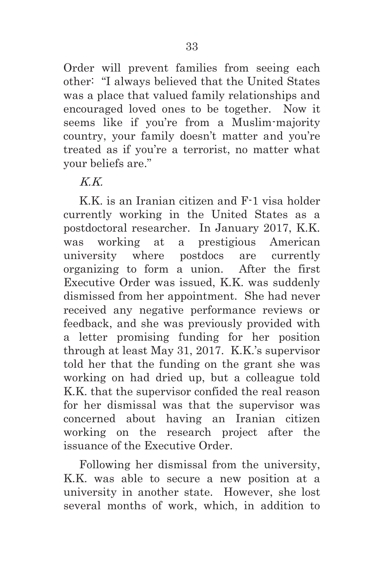Order will prevent families from seeing each other: "I always believed that the United States was a place that valued family relationships and encouraged loved ones to be together. Now it seems like if you're from a Muslim-majority country, your family doesn't matter and you're treated as if you're a terrorist, no matter what your beliefs are."

# K.K.

K.K. is an Iranian citizen and F-1 visa holder currently working in the United States as a postdoctoral researcher. In January 2017, K.K. was working at a prestigious American university where postdocs are currently organizing to form a union. After the first Executive Order was issued, K.K. was suddenly dismissed from her appointment. She had never received any negative performance reviews or feedback, and she was previously provided with a letter promising funding for her position through at least May 31, 2017. K.K.'s supervisor told her that the funding on the grant she was working on had dried up, but a colleague told K.K. that the supervisor confided the real reason for her dismissal was that the supervisor was concerned about having an Iranian citizen working on the research project after the issuance of the Executive Order.

Following her dismissal from the university, K.K. was able to secure a new position at a university in another state. However, she lost several months of work, which, in addition to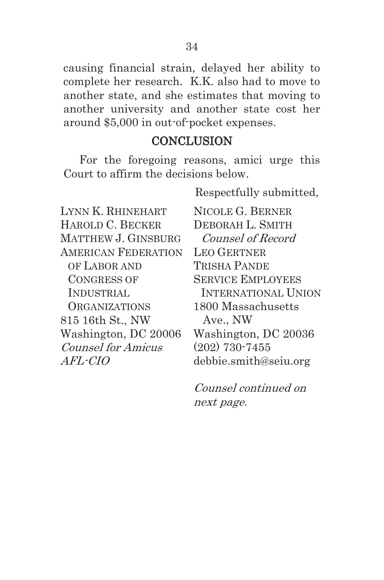causing financial strain, delayed her ability to complete her research. K.K. also had to move to another state, and she estimates that moving to another university and another state cost her around \$5,000 in out-of-pocket expenses.

### **CONCLUSION**

For the foregoing reasons, amici urge this Court to affirm the decisions below.

Respectfully submitted,

| LYNN K. RHINEHART          | <b>NIC</b>     |
|----------------------------|----------------|
| HAROLD C. BECKER           | DEB            |
| MATTHEW J. GINSBURG        | $\it{Co}$      |
| <b>AMERICAN FEDERATION</b> | <b>LEO</b>     |
| OF LABOR AND               | TRIS           |
| <b>CONGRESS OF</b>         | <b>SER</b>     |
|                            |                |
| <b>INDUSTRIAL</b>          | IN'            |
| <b>ORGANIZATIONS</b>       | 1800           |
| 815 16th St., NW           | A <sub>x</sub> |
| Washington, DC 20006       | Was            |
| <b>Counsel for Amicus</b>  | (202           |
| <i>AFL-CIO</i>             | debl           |

OLE G. BERNER ORAH L. SMITH unsel of Record **GERTNER THA PANDE** VICE EMPLOYEES TERNATIONAL UNION 0 Massachusetts  $ve.$  NW shington,  $DC$  20036  $(2)$  730-7455 bie.smith@seiu.org

Counsel continued on next page.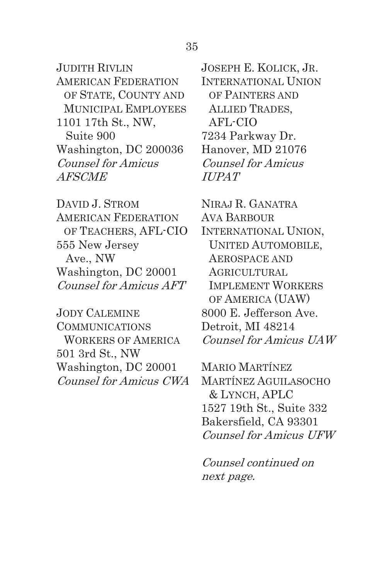JUDITH RIVLIN AMERICAN FEDERATION OF STATE, COUNTY AND MUNICIPAL EMPLOYEES 1101 17th St., NW, Suite 900 Washington, DC 200036 Counsel for Amicus AFSCME

DAVID J. STROM AMERICAN FEDERATION OF TEACHERS, AFL-CIO 555 New Jersey Ave., NW Washington, DC 20001 Counsel for Amicus AFT

JODY CALEMINE COMMUNICATIONS WORKERS OF AMERICA 501 3rd St., NW Washington, DC 20001 Counsel for Amicus CWA JOSEPH E. KOLICK, JR. INTERNATIONAL UNION OF PAINTERS AND ALLIED TRADES, AFL-CIO 7234 Parkway Dr. Hanover, MD 21076 Counsel for Amicus IUPAT

NIRAJ R. GANATRA AVA BARBOUR INTERNATIONAL UNION, UNITED AUTOMOBILE, AEROSPACE AND AGRICULTURAL IMPLEMENT WORKERS OF AMERICA (UAW) 8000 E. Jefferson Ave. Detroit, MI 48214 Counsel for Amicus UAW

MARIO MARTÍNEZ MARTÍNEZ AGUILASOCHO & LYNCH, APLC 1527 19th St., Suite 332 Bakersfield, CA 93301 Counsel for Amicus UFW

Counsel continued on next page.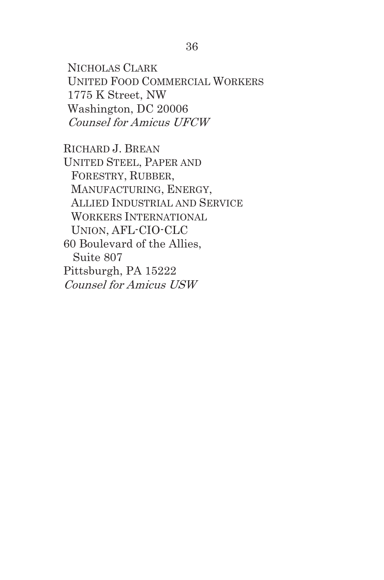NICHOLAS CLARK UNITED FOOD COMMERCIAL WORKERS 1775 K Street, NW Washington, DC 20006 Counsel for Amicus UFCW

RICHARD J. BREAN UNITED STEEL, PAPER AND FORESTRY, RUBBER, MANUFACTURING, ENERGY, ALLIED INDUSTRIAL AND SERVICE WORKERS INTERNATIONAL UNION, AFL-CIO-CLC 60 Boulevard of the Allies, Suite 807 Pittsburgh, PA 15222 Counsel for Amicus USW